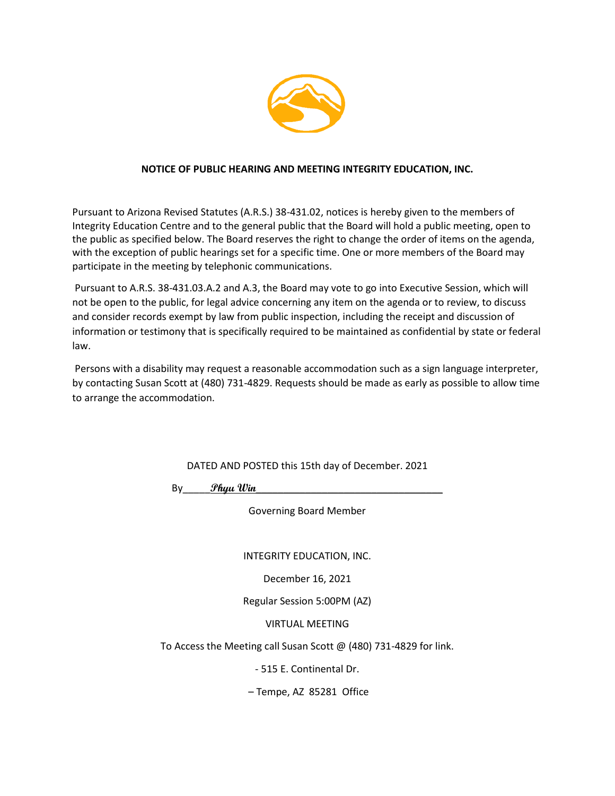

### **NOTICE OF PUBLIC HEARING AND MEETING INTEGRITY EDUCATION, INC.**

Pursuant to Arizona Revised Statutes (A.R.S.) 38-431.02, notices is hereby given to the members of Integrity Education Centre and to the general public that the Board will hold a public meeting, open to the public as specified below. The Board reserves the right to change the order of items on the agenda, with the exception of public hearings set for a specific time. One or more members of the Board may participate in the meeting by telephonic communications.

Pursuant to A.R.S. 38-431.03.A.2 and A.3, the Board may vote to go into Executive Session, which will not be open to the public, for legal advice concerning any item on the agenda or to review, to discuss and consider records exempt by law from public inspection, including the receipt and discussion of information or testimony that is specifically required to be maintained as confidential by state or federal law.

Persons with a disability may request a reasonable accommodation such as a sign language interpreter, by contacting Susan Scott at (480) 731-4829. Requests should be made as early as possible to allow time to arrange the accommodation.

DATED AND POSTED this 15th day of December. 2021

By\_\_\_\_\_**Phyu Win**\_\_\_\_\_\_\_\_\_\_\_\_\_\_\_\_\_\_\_\_\_\_\_\_\_\_\_\_\_\_\_\_\_\_

Governing Board Member

INTEGRITY EDUCATION, INC.

December 16, 2021

Regular Session 5:00PM (AZ)

VIRTUAL MEETING

To Access the Meeting call Susan Scott @ (480) 731-4829 for link.

- 515 E. Continental Dr.

– Tempe, AZ 85281 Office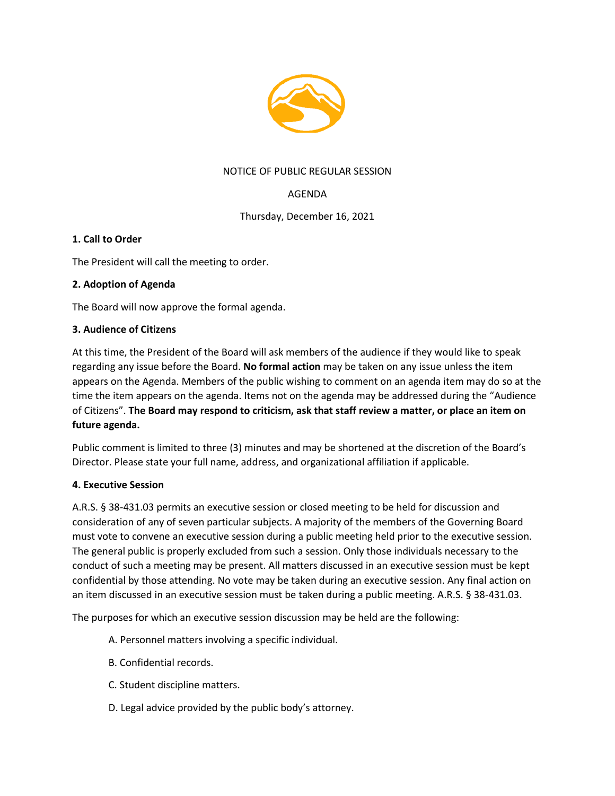

## NOTICE OF PUBLIC REGULAR SESSION

# AGENDA

## Thursday, December 16, 2021

## **1. Call to Order**

The President will call the meeting to order.

## **2. Adoption of Agenda**

The Board will now approve the formal agenda.

### **3. Audience of Citizens**

At this time, the President of the Board will ask members of the audience if they would like to speak regarding any issue before the Board. **No formal action** may be taken on any issue unless the item appears on the Agenda. Members of the public wishing to comment on an agenda item may do so at the time the item appears on the agenda. Items not on the agenda may be addressed during the "Audience of Citizens". **The Board may respond to criticism, ask that staff review a matter, or place an item on future agenda.**

Public comment is limited to three (3) minutes and may be shortened at the discretion of the Board's Director. Please state your full name, address, and organizational affiliation if applicable.

### **4. Executive Session**

A.R.S. § 38-431.03 permits an executive session or closed meeting to be held for discussion and consideration of any of seven particular subjects. A majority of the members of the Governing Board must vote to convene an executive session during a public meeting held prior to the executive session. The general public is properly excluded from such a session. Only those individuals necessary to the conduct of such a meeting may be present. All matters discussed in an executive session must be kept confidential by those attending. No vote may be taken during an executive session. Any final action on an item discussed in an executive session must be taken during a public meeting. A.R.S. § 38-431.03.

The purposes for which an executive session discussion may be held are the following:

- A. Personnel matters involving a specific individual.
- B. Confidential records.
- C. Student discipline matters.
- D. Legal advice provided by the public body's attorney.